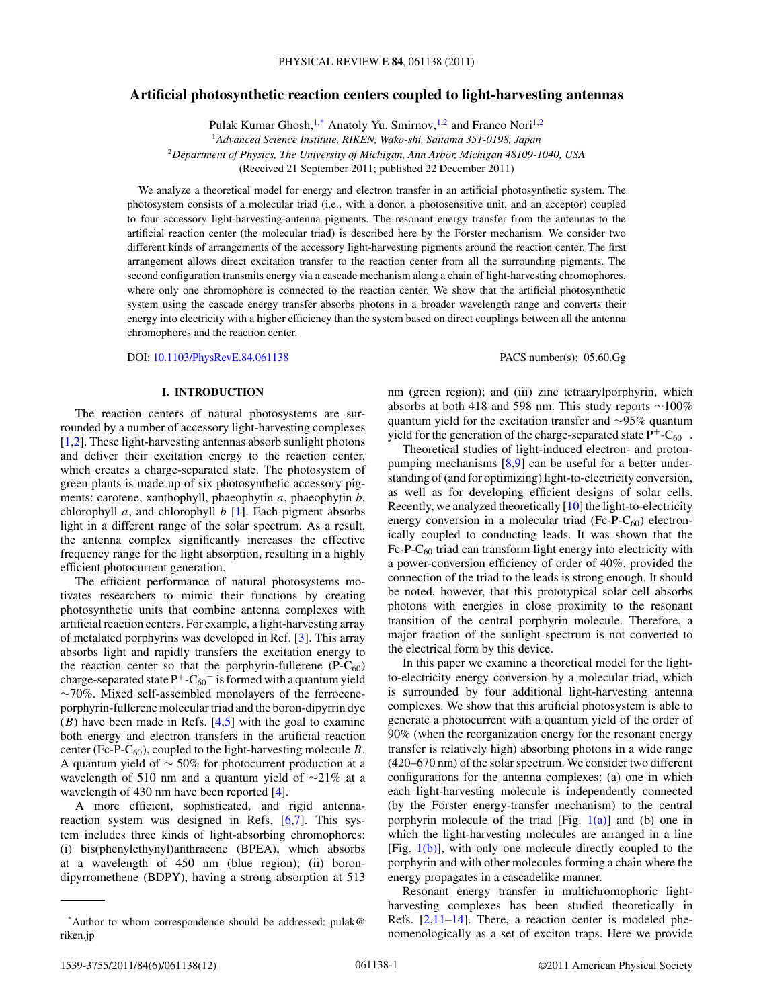# **Artificial photosynthetic reaction centers coupled to light-harvesting antennas**

Pulak Kumar Ghosh,<sup>1,\*</sup> Anatoly Yu. Smirnov,<sup>1,2</sup> and Franco Nori<sup>1,2</sup>

<sup>1</sup>*Advanced Science Institute, RIKEN, Wako-shi, Saitama 351-0198, Japan*

<sup>2</sup>*Department of Physics, The University of Michigan, Ann Arbor, Michigan 48109-1040, USA*

(Received 21 September 2011; published 22 December 2011)

We analyze a theoretical model for energy and electron transfer in an artificial photosynthetic system. The photosystem consists of a molecular triad (i.e., with a donor, a photosensitive unit, and an acceptor) coupled to four accessory light-harvesting-antenna pigments. The resonant energy transfer from the antennas to the artificial reaction center (the molecular triad) is described here by the Förster mechanism. We consider two different kinds of arrangements of the accessory light-harvesting pigments around the reaction center. The first arrangement allows direct excitation transfer to the reaction center from all the surrounding pigments. The second configuration transmits energy via a cascade mechanism along a chain of light-harvesting chromophores, where only one chromophore is connected to the reaction center. We show that the artificial photosynthetic system using the cascade energy transfer absorbs photons in a broader wavelength range and converts their energy into electricity with a higher efficiency than the system based on direct couplings between all the antenna chromophores and the reaction center.

DOI: [10.1103/PhysRevE.84.061138](http://dx.doi.org/10.1103/PhysRevE.84.061138) PACS number(s): 05*.*60*.*Gg

### **I. INTRODUCTION**

The reaction centers of natural photosystems are surrounded by a number of accessory light-harvesting complexes [\[1,2\]](#page-11-0). These light-harvesting antennas absorb sunlight photons and deliver their excitation energy to the reaction center, which creates a charge-separated state. The photosystem of green plants is made up of six photosynthetic accessory pigments: carotene, xanthophyll, phaeophytin *a*, phaeophytin *b*, chlorophyll *a*, and chlorophyll *b* [\[1\]](#page-11-0). Each pigment absorbs light in a different range of the solar spectrum. As a result, the antenna complex significantly increases the effective frequency range for the light absorption, resulting in a highly efficient photocurrent generation.

The efficient performance of natural photosystems motivates researchers to mimic their functions by creating photosynthetic units that combine antenna complexes with artificial reaction centers. For example, a light-harvesting array of metalated porphyrins was developed in Ref. [\[3\]](#page-11-0). This array absorbs light and rapidly transfers the excitation energy to the reaction center so that the porphyrin-fullerene  $(P-C_{60})$ charge-separated state  $P^+$ -C<sub>60</sub><sup>-</sup> is formed with a quantum yield ∼70%. Mixed self-assembled monolayers of the ferroceneporphyrin-fullerene molecular triad and the boron-dipyrrin dye  $(B)$  have been made in Refs.  $[4,5]$  with the goal to examine both energy and electron transfers in the artificial reaction center (Fc-P-C<sub>60</sub>), coupled to the light-harvesting molecule  $B$ . A quantum yield of ∼ 50% for photocurrent production at a wavelength of 510 nm and a quantum yield of ∼21% at a wavelength of 430 nm have been reported [\[4\]](#page-11-0).

A more efficient, sophisticated, and rigid antennareaction system was designed in Refs. [\[6,7\]](#page-11-0). This system includes three kinds of light-absorbing chromophores: (i) bis(phenylethynyl)anthracene (BPEA), which absorbs at a wavelength of 450 nm (blue region); (ii) borondipyrromethene (BDPY), having a strong absorption at 513 nm (green region); and (iii) zinc tetraarylporphyrin, which absorbs at both 418 and 598 nm. This study reports ∼100% quantum yield for the excitation transfer and ∼95% quantum yield for the generation of the charge-separated state  $P^+$ -C<sub>60</sub><sup>−</sup>.

Theoretical studies of light-induced electron- and protonpumping mechanisms [\[8,9\]](#page-11-0) can be useful for a better understanding of (and for optimizing) light-to-electricity conversion, as well as for developing efficient designs of solar cells. Recently, we analyzed theoretically [\[10\]](#page-11-0) the light-to-electricity energy conversion in a molecular triad  $(Fc-P-C_{60})$  electronically coupled to conducting leads. It was shown that the  $Fc-P-C_{60}$  triad can transform light energy into electricity with a power-conversion efficiency of order of 40%, provided the connection of the triad to the leads is strong enough. It should be noted, however, that this prototypical solar cell absorbs photons with energies in close proximity to the resonant transition of the central porphyrin molecule. Therefore, a major fraction of the sunlight spectrum is not converted to the electrical form by this device.

In this paper we examine a theoretical model for the lightto-electricity energy conversion by a molecular triad, which is surrounded by four additional light-harvesting antenna complexes. We show that this artificial photosystem is able to generate a photocurrent with a quantum yield of the order of 90% (when the reorganization energy for the resonant energy transfer is relatively high) absorbing photons in a wide range (420–670 nm) of the solar spectrum. We consider two different configurations for the antenna complexes: (a) one in which each light-harvesting molecule is independently connected (by the Förster energy-transfer mechanism) to the central porphyrin molecule of the triad  $[Fig, 1(a)]$  $[Fig, 1(a)]$  and (b) one in which the light-harvesting molecules are arranged in a line [Fig.  $1(b)$ ], with only one molecule directly coupled to the porphyrin and with other molecules forming a chain where the energy propagates in a cascadelike manner.

Resonant energy transfer in multichromophoric lightharvesting complexes has been studied theoretically in Refs. [\[2,11–14\]](#page-11-0). There, a reaction center is modeled phenomenologically as a set of exciton traps. Here we provide

<sup>\*</sup>Author to whom correspondence should be addressed: pulak@ riken.jp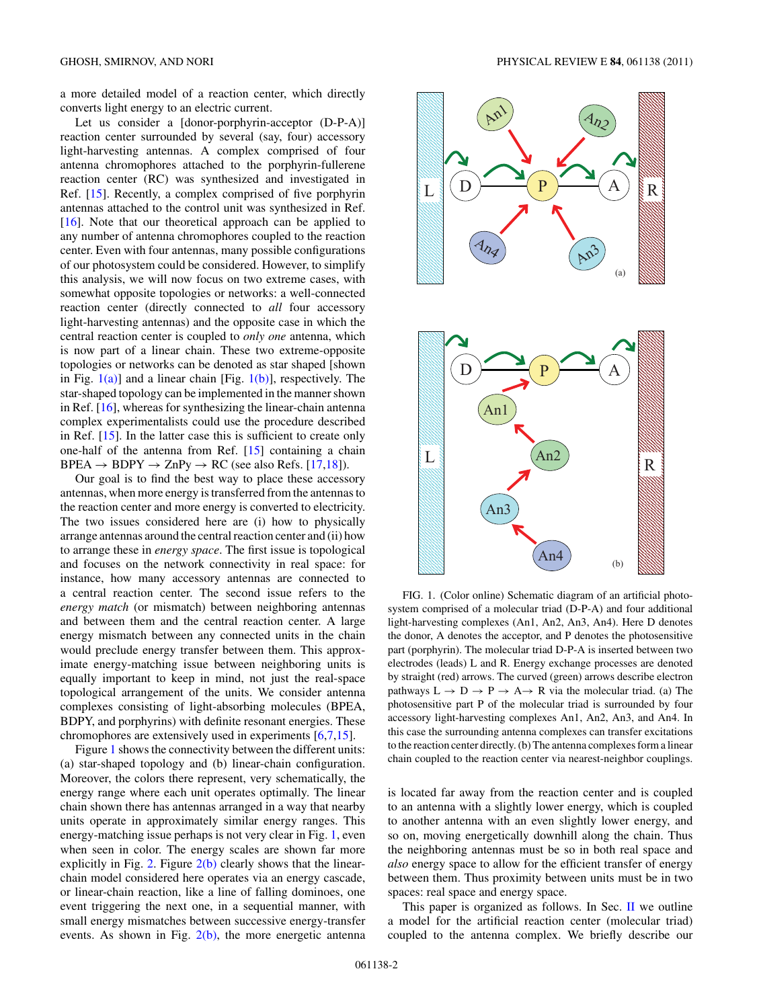<span id="page-1-0"></span>a more detailed model of a reaction center, which directly converts light energy to an electric current.

Let us consider a [donor-porphyrin-acceptor (D-P-A)] reaction center surrounded by several (say, four) accessory light-harvesting antennas. A complex comprised of four antenna chromophores attached to the porphyrin-fullerene reaction center (RC) was synthesized and investigated in Ref. [\[15\]](#page-11-0). Recently, a complex comprised of five porphyrin antennas attached to the control unit was synthesized in Ref. [\[16\]](#page-11-0). Note that our theoretical approach can be applied to any number of antenna chromophores coupled to the reaction center. Even with four antennas, many possible configurations of our photosystem could be considered. However, to simplify this analysis, we will now focus on two extreme cases, with somewhat opposite topologies or networks: a well-connected reaction center (directly connected to *all* four accessory light-harvesting antennas) and the opposite case in which the central reaction center is coupled to *only one* antenna, which is now part of a linear chain. These two extreme-opposite topologies or networks can be denoted as star shaped [shown in Fig.  $1(a)$ ] and a linear chain [Fig.  $1(b)$ ], respectively. The star-shaped topology can be implemented in the manner shown in Ref. [\[16\]](#page-11-0), whereas for synthesizing the linear-chain antenna complex experimentalists could use the procedure described in Ref. [\[15\]](#page-11-0). In the latter case this is sufficient to create only one-half of the antenna from Ref. [\[15\]](#page-11-0) containing a chain  $BPEA \rightarrow BDPY \rightarrow ZnPy \rightarrow RC$  (see also Refs. [\[17,18\]](#page-11-0)).

Our goal is to find the best way to place these accessory antennas, when more energy is transferred from the antennas to the reaction center and more energy is converted to electricity. The two issues considered here are (i) how to physically arrange antennas around the central reaction center and (ii) how to arrange these in *energy space*. The first issue is topological and focuses on the network connectivity in real space: for instance, how many accessory antennas are connected to a central reaction center. The second issue refers to the *energy match* (or mismatch) between neighboring antennas and between them and the central reaction center. A large energy mismatch between any connected units in the chain would preclude energy transfer between them. This approximate energy-matching issue between neighboring units is equally important to keep in mind, not just the real-space topological arrangement of the units. We consider antenna complexes consisting of light-absorbing molecules (BPEA, BDPY, and porphyrins) with definite resonant energies. These chromophores are extensively used in experiments [\[6,7,15\]](#page-11-0).

Figure 1 shows the connectivity between the different units: (a) star-shaped topology and (b) linear-chain configuration. Moreover, the colors there represent, very schematically, the energy range where each unit operates optimally. The linear chain shown there has antennas arranged in a way that nearby units operate in approximately similar energy ranges. This energy-matching issue perhaps is not very clear in Fig. 1, even when seen in color. The energy scales are shown far more explicitly in Fig. [2.](#page-2-0) Figure  $2(b)$  clearly shows that the linearchain model considered here operates via an energy cascade, or linear-chain reaction, like a line of falling dominoes, one event triggering the next one, in a sequential manner, with small energy mismatches between successive energy-transfer events. As shown in Fig.  $2(b)$ , the more energetic antenna



FIG. 1. (Color online) Schematic diagram of an artificial photosystem comprised of a molecular triad (D-P-A) and four additional light-harvesting complexes (An1, An2, An3, An4). Here D denotes the donor, A denotes the acceptor, and P denotes the photosensitive part (porphyrin). The molecular triad D-P-A is inserted between two electrodes (leads) L and R. Energy exchange processes are denoted by straight (red) arrows. The curved (green) arrows describe electron pathways  $L \rightarrow D \rightarrow P \rightarrow A \rightarrow R$  via the molecular triad. (a) The photosensitive part P of the molecular triad is surrounded by four accessory light-harvesting complexes An1, An2, An3, and An4. In this case the surrounding antenna complexes can transfer excitations to the reaction center directly. (b) The antenna complexes form a linear chain coupled to the reaction center via nearest-neighbor couplings.

is located far away from the reaction center and is coupled to an antenna with a slightly lower energy, which is coupled to another antenna with an even slightly lower energy, and so on, moving energetically downhill along the chain. Thus the neighboring antennas must be so in both real space and *also* energy space to allow for the efficient transfer of energy between them. Thus proximity between units must be in two spaces: real space and energy space.

This paper is organized as follows. In Sec.  $II$  we outline a model for the artificial reaction center (molecular triad) coupled to the antenna complex. We briefly describe our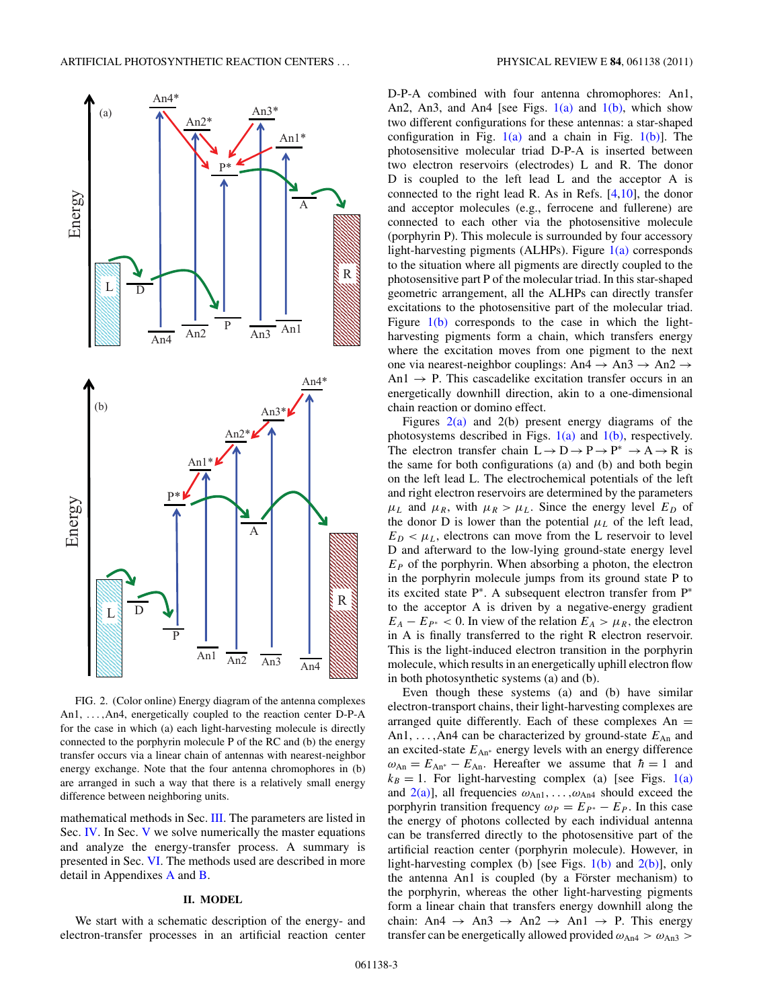<span id="page-2-0"></span>

FIG. 2. (Color online) Energy diagram of the antenna complexes An1, *...,*An4, energetically coupled to the reaction center D-P-A for the case in which (a) each light-harvesting molecule is directly connected to the porphyrin molecule P of the RC and (b) the energy transfer occurs via a linear chain of antennas with nearest-neighbor energy exchange. Note that the four antenna chromophores in (b) are arranged in such a way that there is a relatively small energy difference between neighboring units.

mathematical methods in Sec. [III.](#page-3-0) The parameters are listed in Sec. [IV.](#page-3-0) In Sec. [V](#page-4-0) we solve numerically the master equations and analyze the energy-transfer process. A summary is presented in Sec. [VI.](#page-7-0) The methods used are described in more detail in Appendixes [A](#page-8-0) and [B.](#page-9-0)

#### **II. MODEL**

We start with a schematic description of the energy- and electron-transfer processes in an artificial reaction center D-P-A combined with four antenna chromophores: An1, An2, An3, and An4 [see Figs.  $1(a)$  and  $1(b)$ , which show two different configurations for these antennas: a star-shaped configuration in Fig.  $1(a)$  and a chain in Fig.  $1(b)$ ]. The photosensitive molecular triad D-P-A is inserted between two electron reservoirs (electrodes) L and R. The donor D is coupled to the left lead L and the acceptor A is connected to the right lead R. As in Refs.  $[4,10]$ , the donor and acceptor molecules (e.g., ferrocene and fullerene) are connected to each other via the photosensitive molecule (porphyrin P). This molecule is surrounded by four accessory light-harvesting pigments (ALHPs). Figure  $1(a)$  corresponds to the situation where all pigments are directly coupled to the photosensitive part P of the molecular triad. In this star-shaped geometric arrangement, all the ALHPs can directly transfer excitations to the photosensitive part of the molecular triad. Figure  $1(b)$  corresponds to the case in which the lightharvesting pigments form a chain, which transfers energy where the excitation moves from one pigment to the next one via nearest-neighbor couplings: An4  $\rightarrow$  An3  $\rightarrow$  An2  $\rightarrow$ An1  $\rightarrow$  P. This cascadelike excitation transfer occurs in an energetically downhill direction, akin to a one-dimensional chain reaction or domino effect.

Figures  $2(a)$  and  $2(b)$  present energy diagrams of the photosystems described in Figs.  $1(a)$  and  $1(b)$ , respectively. The electron transfer chain  $L \to D \to P \to P^* \to A \to R$  is the same for both configurations (a) and (b) and both begin on the left lead L. The electrochemical potentials of the left and right electron reservoirs are determined by the parameters  $\mu_L$  and  $\mu_R$ , with  $\mu_R > \mu_L$ . Since the energy level  $E_D$  of the donor D is lower than the potential  $\mu_L$  of the left lead,  $E_D < \mu_L$ , electrons can move from the L reservoir to level D and afterward to the low-lying ground-state energy level  $E<sub>P</sub>$  of the porphyrin. When absorbing a photon, the electron in the porphyrin molecule jumps from its ground state P to its excited state P<sup>∗</sup>. A subsequent electron transfer from P<sup>∗</sup> to the acceptor A is driven by a negative-energy gradient  $E_A - E_{P^*} < 0$ . In view of the relation  $E_A > \mu_R$ , the electron in A is finally transferred to the right R electron reservoir. This is the light-induced electron transition in the porphyrin molecule, which results in an energetically uphill electron flow in both photosynthetic systems (a) and (b).

Even though these systems (a) and (b) have similar electron-transport chains, their light-harvesting complexes are arranged quite differently. Each of these complexes  $An =$ An1,  $\dots$ , An4 can be characterized by ground-state  $E_{An}$  and an excited-state  $E_{An*}$  energy levels with an energy difference  $\omega_{An} = E_{An^*} - E_{An}$ . Hereafter we assume that  $\hbar = 1$  and  $k_B = 1$ . For light-harvesting complex (a) [see Figs. [1\(a\)](#page-1-0) and  $2(a)$ ], all frequencies  $\omega_{An1}, \ldots, \omega_{An4}$  should exceed the porphyrin transition frequency  $\omega_P = E_{P^*} - E_P$ . In this case the energy of photons collected by each individual antenna can be transferred directly to the photosensitive part of the artificial reaction center (porphyrin molecule). However, in light-harvesting complex (b) [see Figs.  $1(b)$  and  $2(b)$ ], only the antenna An1 is coupled (by a Förster mechanism) to the porphyrin, whereas the other light-harvesting pigments form a linear chain that transfers energy downhill along the chain: An4  $\rightarrow$  An3  $\rightarrow$  An2  $\rightarrow$  An1  $\rightarrow$  P. This energy transfer can be energetically allowed provided  $\omega_{An4} > \omega_{An3} >$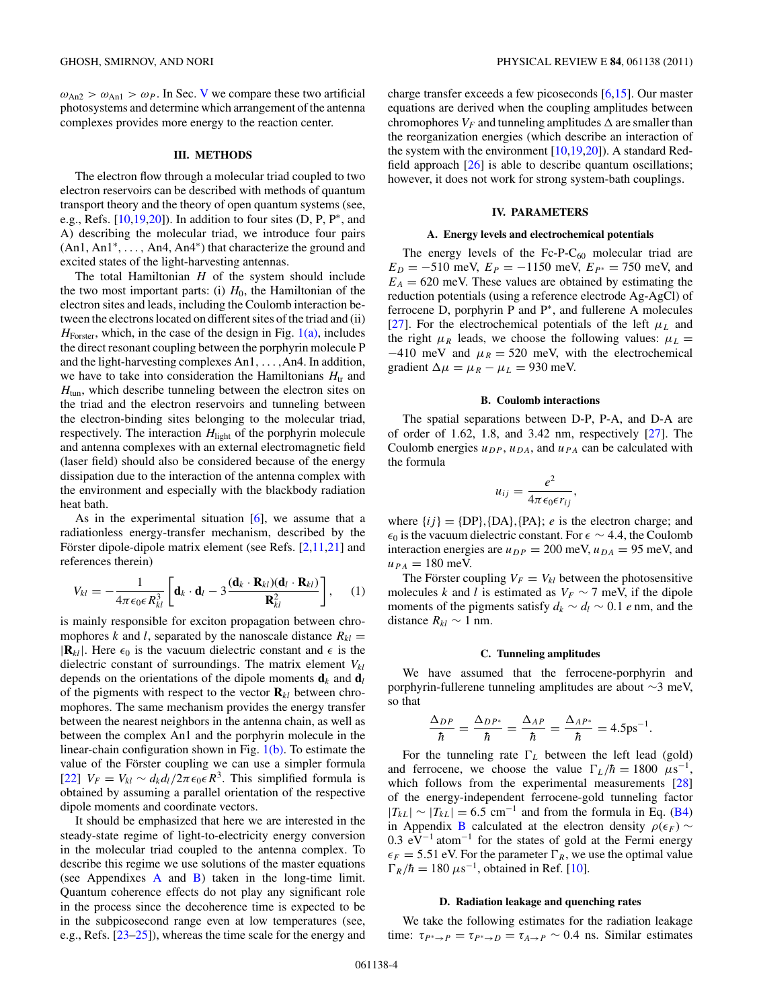<span id="page-3-0"></span> $\omega_{An2} > \omega_{An1} > \omega_P$ . In Sec. [V](#page-4-0) we compare these two artificial photosystems and determine which arrangement of the antenna complexes provides more energy to the reaction center.

### **III. METHODS**

The electron flow through a molecular triad coupled to two electron reservoirs can be described with methods of quantum transport theory and the theory of open quantum systems (see, e.g., Refs. [\[10,19,20\]](#page-11-0)). In addition to four sites (D, P, P<sup>∗</sup>, and A) describing the molecular triad, we introduce four pairs (An1, An1<sup>∗</sup>, *...,* An4, An4<sup>∗</sup>) that characterize the ground and excited states of the light-harvesting antennas.

The total Hamiltonian *H* of the system should include the two most important parts: (i)  $H_0$ , the Hamiltonian of the electron sites and leads, including the Coulomb interaction between the electrons located on different sites of the triad and (ii)  $H_{\text{Forster}}$ , which, in the case of the design in Fig.  $1(a)$ , includes the direct resonant coupling between the porphyrin molecule P and the light-harvesting complexes An1*,...,*An4. In addition, we have to take into consideration the Hamiltonians  $H_{tr}$  and *H*<sub>tun</sub>, which describe tunneling between the electron sites on the triad and the electron reservoirs and tunneling between the electron-binding sites belonging to the molecular triad, respectively. The interaction  $H<sub>light</sub>$  of the porphyrin molecule and antenna complexes with an external electromagnetic field (laser field) should also be considered because of the energy dissipation due to the interaction of the antenna complex with the environment and especially with the blackbody radiation heat bath.

As in the experimental situation  $[6]$ , we assume that a radiationless energy-transfer mechanism, described by the Förster dipole-dipole matrix element (see Refs.  $[2,11,21]$  $[2,11,21]$  and references therein)

$$
V_{kl} = -\frac{1}{4\pi\epsilon_0\epsilon R_{kl}^3} \left[ \mathbf{d}_k \cdot \mathbf{d}_l - 3\frac{(\mathbf{d}_k \cdot \mathbf{R}_{kl})(\mathbf{d}_l \cdot \mathbf{R}_{kl})}{\mathbf{R}_{kl}^2} \right], \quad (1)
$$

is mainly responsible for exciton propagation between chromophores *k* and *l*, separated by the nanoscale distance  $R_{kl}$  =  $|\mathbf{R}_{kl}|$ . Here  $\epsilon_0$  is the vacuum dielectric constant and  $\epsilon$  is the dielectric constant of surroundings. The matrix element  $V_{kl}$ depends on the orientations of the dipole moments  $\mathbf{d}_k$  and  $\mathbf{d}_l$ of the pigments with respect to the vector  $\mathbf{R}_{kl}$  between chromophores. The same mechanism provides the energy transfer between the nearest neighbors in the antenna chain, as well as between the complex An1 and the porphyrin molecule in the linear-chain configuration shown in Fig. [1\(b\).](#page-1-0) To estimate the value of the Förster coupling we can use a simpler formula [\[22\]](#page-11-0)  $V_F = V_{kl} \sim d_k d_l / 2\pi \epsilon_0 \epsilon R^3$ . This simplified formula is obtained by assuming a parallel orientation of the respective dipole moments and coordinate vectors.

It should be emphasized that here we are interested in the steady-state regime of light-to-electricity energy conversion in the molecular triad coupled to the antenna complex. To describe this regime we use solutions of the master equations (see [A](#page-8-0)ppendixes  $\overline{A}$  and  $\overline{B}$ ) taken in the long-time limit. Quantum coherence effects do not play any significant role in the process since the decoherence time is expected to be in the subpicosecond range even at low temperatures (see, e.g., Refs. [\[23–25\]](#page-11-0)), whereas the time scale for the energy and

charge transfer exceeds a few picoseconds [\[6,15\]](#page-11-0). Our master equations are derived when the coupling amplitudes between chromophores  $V_F$  and tunneling amplitudes  $\Delta$  are smaller than the reorganization energies (which describe an interaction of the system with the environment [\[10,19,20\]](#page-11-0)). A standard Redfield approach [\[26\]](#page-11-0) is able to describe quantum oscillations; however, it does not work for strong system-bath couplings.

### **IV. PARAMETERS**

#### **A. Energy levels and electrochemical potentials**

The energy levels of the Fc-P- $C_{60}$  molecular triad are  $E_D = -510$  meV,  $E_P = -1150$  meV,  $E_{P^*} = 750$  meV, and  $E_A = 620$  meV. These values are obtained by estimating the reduction potentials (using a reference electrode Ag-AgCl) of ferrocene D, porphyrin P and P<sup>∗</sup>, and fullerene A molecules [\[27\]](#page-11-0). For the electrochemical potentials of the left  $\mu_L$  and the right  $\mu_R$  leads, we choose the following values:  $\mu_L =$  $-410$  meV and  $\mu_R = 520$  meV, with the electrochemical gradient  $\Delta \mu = \mu_R - \mu_L = 930$  meV.

### **B. Coulomb interactions**

The spatial separations between D-P, P-A, and D-A are of order of 1.62, 1.8, and 3.42 nm, respectively [\[27\]](#page-11-0). The Coulomb energies  $u_{DP}$ ,  $u_{DA}$ , and  $u_{PA}$  can be calculated with the formula

$$
u_{ij} = \frac{e^2}{4\pi\epsilon_0\epsilon r_{ij}},
$$

where  $\{ij\} = \{DP\}$ ,  $\{DA\}$ ,  $\{PA\}$ ; *e* is the electron charge; and  $\epsilon_0$  is the vacuum dielectric constant. For  $\epsilon \sim 4.4$ , the Coulomb interaction energies are  $u_{DP} = 200$  meV,  $u_{DA} = 95$  meV, and  $u_{PA} = 180$  meV.

The Förster coupling  $V_F = V_{kl}$  between the photosensitive molecules *k* and *l* is estimated as  $V_F \sim 7$  meV, if the dipole moments of the pigments satisfy  $d_k \sim d_l \sim 0.1$  *e* nm, and the distance  $R_{kl}$  ∼ 1 nm.

#### **C. Tunneling amplitudes**

We have assumed that the ferrocene-porphyrin and porphyrin-fullerene tunneling amplitudes are about ∼3 meV, so that

$$
\frac{\Delta_{DP}}{\hbar} = \frac{\Delta_{DP^*}}{\hbar} = \frac{\Delta_{AP}}{\hbar} = \frac{\Delta_{AP^*}}{\hbar} = 4.5 \text{ps}^{-1}.
$$

For the tunneling rate  $\Gamma_L$  between the left lead (gold) and ferrocene, we choose the value  $\Gamma_L/\hbar = 1800 \ \mu s^{-1}$ , which follows from the experimental measurements [\[28\]](#page-11-0) of the energy-independent ferrocene-gold tunneling factor  $|T_{kL}| \sim |T_{kL}| = 6.5$  cm<sup>-1</sup> and from the formula in Eq. [\(B4\)](#page-9-0) in Appendix [B](#page-9-0) calculated at the electron density  $\rho(\epsilon_F)$  ~ 0.3  $eV^{-1}$  atom<sup>-1</sup> for the states of gold at the Fermi energy  $\epsilon_F = 5.51$  eV. For the parameter  $\Gamma_R$ , we use the optimal value  $\Gamma_R/\hbar = 180 \ \mu s^{-1}$ , obtained in Ref. [\[10\]](#page-11-0).

#### **D. Radiation leakage and quenching rates**

We take the following estimates for the radiation leakage time:  $\tau_{P^* \to P} = \tau_{P^* \to D} = \tau_{A \to P} \sim 0.4$  ns. Similar estimates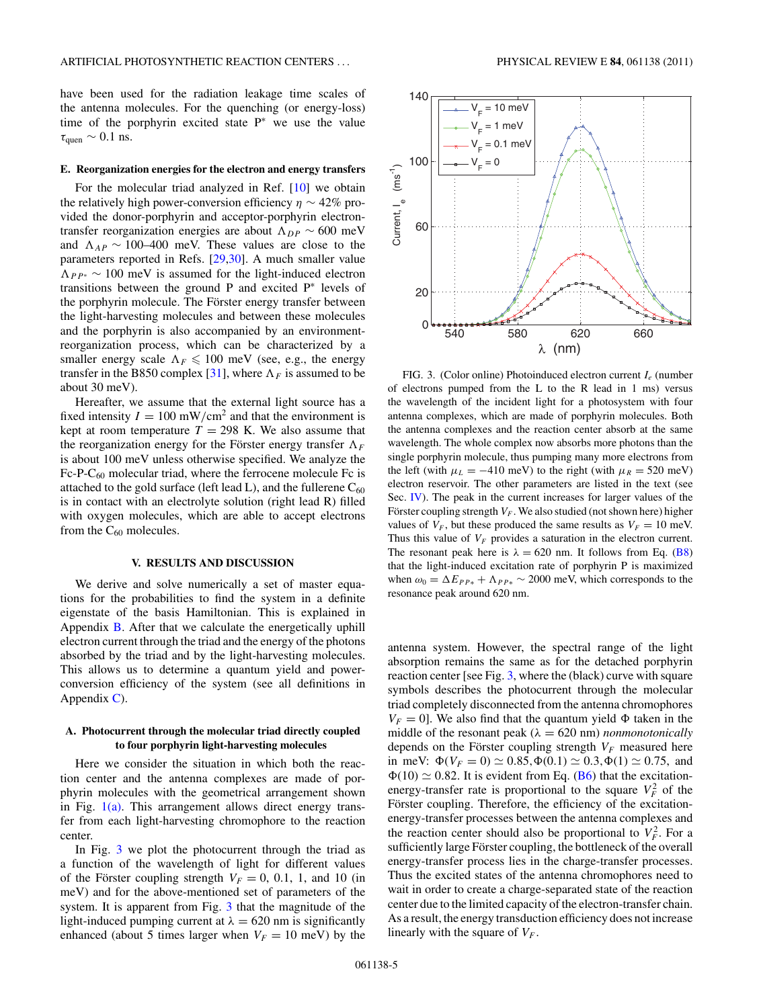<span id="page-4-0"></span>have been used for the radiation leakage time scales of the antenna molecules. For the quenching (or energy-loss) time of the porphyrin excited state P<sup>∗</sup> we use the value  $\tau_{\text{quen}} \sim 0.1$  ns.

### **E. Reorganization energies for the electron and energy transfers**

For the molecular triad analyzed in Ref. [\[10\]](#page-11-0) we obtain the relatively high power-conversion efficiency  $\eta \sim 42\%$  provided the donor-porphyrin and acceptor-porphyrin electrontransfer reorganization energies are about  $\Lambda_{DP} \sim 600 \text{ meV}$ and  $\Lambda_{AP} \sim 100-400$  meV. These values are close to the parameters reported in Refs. [\[29,30\]](#page-11-0). A much smaller value  $\Lambda_{PP*} \sim 100$  meV is assumed for the light-induced electron transitions between the ground P and excited P<sup>∗</sup> levels of the porphyrin molecule. The Förster energy transfer between the light-harvesting molecules and between these molecules and the porphyrin is also accompanied by an environmentreorganization process, which can be characterized by a smaller energy scale  $\Lambda_F \leq 100$  meV (see, e.g., the energy transfer in the B850 complex [\[31\]](#page-11-0), where  $\Lambda_F$  is assumed to be about 30 meV).

Hereafter, we assume that the external light source has a fixed intensity  $I = 100$  mW/cm<sup>2</sup> and that the environment is kept at room temperature  $T = 298$  K. We also assume that the reorganization energy for the Förster energy transfer  $\Lambda_F$ is about 100 meV unless otherwise specified. We analyze the  $Fc-P-C_{60}$  molecular triad, where the ferrocene molecule Fc is attached to the gold surface (left lead L), and the fullerene  $C_{60}$ is in contact with an electrolyte solution (right lead R) filled with oxygen molecules, which are able to accept electrons from the  $C_{60}$  molecules.

### **V. RESULTS AND DISCUSSION**

We derive and solve numerically a set of master equations for the probabilities to find the system in a definite eigenstate of the basis Hamiltonian. This is explained in Appendix [B.](#page-9-0) After that we calculate the energetically uphill electron current through the triad and the energy of the photons absorbed by the triad and by the light-harvesting molecules. This allows us to determine a quantum yield and powerconversion efficiency of the system (see all definitions in Appendix  $C$ ).

# **A. Photocurrent through the molecular triad directly coupled to four porphyrin light-harvesting molecules**

Here we consider the situation in which both the reaction center and the antenna complexes are made of porphyrin molecules with the geometrical arrangement shown in Fig.  $1(a)$ . This arrangement allows direct energy transfer from each light-harvesting chromophore to the reaction center.

In Fig. 3 we plot the photocurrent through the triad as a function of the wavelength of light for different values of the Förster coupling strength  $V_F = 0, 0.1, 1,$  and 10 (in meV) and for the above-mentioned set of parameters of the system. It is apparent from Fig. 3 that the magnitude of the light-induced pumping current at  $\lambda = 620$  nm is significantly enhanced (about 5 times larger when  $V_F = 10$  meV) by the



FIG. 3. (Color online) Photoinduced electron current *Ie* (number of electrons pumped from the L to the R lead in 1 ms) versus the wavelength of the incident light for a photosystem with four antenna complexes, which are made of porphyrin molecules. Both the antenna complexes and the reaction center absorb at the same wavelength. The whole complex now absorbs more photons than the single porphyrin molecule, thus pumping many more electrons from the left (with  $\mu_L = -410$  meV) to the right (with  $\mu_R = 520$  meV) electron reservoir. The other parameters are listed in the text (see Sec. [IV\)](#page-3-0). The peak in the current increases for larger values of the Förster coupling strength  $V_F$ . We also studied (not shown here) higher values of  $V_F$ , but these produced the same results as  $V_F = 10$  meV. Thus this value of  $V_F$  provides a saturation in the electron current. The resonant peak here is  $\lambda = 620$  nm. It follows from Eq. [\(B8\)](#page-10-0) that the light-induced excitation rate of porphyrin P is maximized when  $\omega_0 = \Delta E_{PP*} + \Lambda_{PP*} \sim 2000$  meV, which corresponds to the resonance peak around 620 nm.

antenna system. However, the spectral range of the light absorption remains the same as for the detached porphyrin reaction center [see Fig. 3, where the (black) curve with square symbols describes the photocurrent through the molecular triad completely disconnected from the antenna chromophores  $V_F = 0$ . We also find that the quantum yield  $\Phi$  taken in the middle of the resonant peak ( $\lambda = 620$  nm) *nonmonotonically* depends on the Förster coupling strength  $V_F$  measured here in meV:  $\Phi(V_F = 0) \simeq 0.85, \Phi(0.1) \simeq 0.3, \Phi(1) \simeq 0.75$ , and  $\Phi(10) \simeq 0.82$ . It is evident from Eq. [\(B6\)](#page-10-0) that the excitationenergy-transfer rate is proportional to the square  $V_F^2$  of the Förster coupling. Therefore, the efficiency of the excitationenergy-transfer processes between the antenna complexes and the reaction center should also be proportional to  $V_F^2$ . For a sufficiently large Förster coupling, the bottleneck of the overall energy-transfer process lies in the charge-transfer processes. Thus the excited states of the antenna chromophores need to wait in order to create a charge-separated state of the reaction center due to the limited capacity of the electron-transfer chain. As a result, the energy transduction efficiency does not increase linearly with the square of *VF* .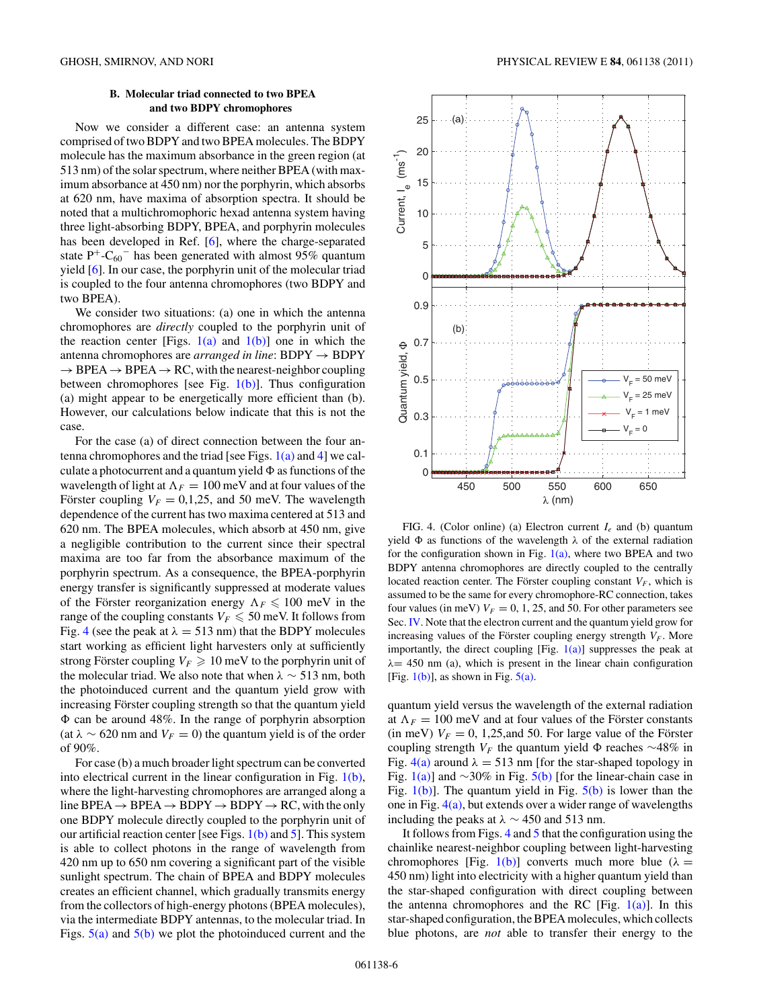# **B. Molecular triad connected to two BPEA and two BDPY chromophores**

<span id="page-5-0"></span>Now we consider a different case: an antenna system comprised of two BDPY and two BPEA molecules. The BDPY molecule has the maximum absorbance in the green region (at 513 nm) of the solar spectrum, where neither BPEA (with maximum absorbance at 450 nm) nor the porphyrin, which absorbs at 620 nm, have maxima of absorption spectra. It should be noted that a multichromophoric hexad antenna system having three light-absorbing BDPY, BPEA, and porphyrin molecules has been developed in Ref. [\[6\]](#page-11-0), where the charge-separated state P<sup>+</sup>-C<sub>60</sub><sup>-</sup> has been generated with almost 95% quantum yield [\[6\]](#page-11-0). In our case, the porphyrin unit of the molecular triad is coupled to the four antenna chromophores (two BDPY and two BPEA).

We consider two situations: (a) one in which the antenna chromophores are *directly* coupled to the porphyrin unit of the reaction center [Figs.  $1(a)$  and  $1(b)$ ] one in which the antenna chromophores are *arranged in line*: BDPY → BDPY  $\rightarrow$  BPEA  $\rightarrow$  BPEA  $\rightarrow$  RC, with the nearest-neighbor coupling between chromophores [see Fig.  $1(b)$ ]. Thus configuration (a) might appear to be energetically more efficient than (b). However, our calculations below indicate that this is not the case.

For the case (a) of direct connection between the four antenna chromophores and the triad [see Figs.  $1(a)$  and 4] we calculate a photocurrent and a quantum yield  as functions of the wavelength of light at  $\Lambda_F = 100$  meV and at four values of the Förster coupling  $V_F = 0,1,25$ , and 50 meV. The wavelength dependence of the current has two maxima centered at 513 and 620 nm. The BPEA molecules, which absorb at 450 nm, give a negligible contribution to the current since their spectral maxima are too far from the absorbance maximum of the porphyrin spectrum. As a consequence, the BPEA-porphyrin energy transfer is significantly suppressed at moderate values of the Förster reorganization energy  $\Lambda_F \leq 100$  meV in the range of the coupling constants  $V_F \leqslant 50$  meV. It follows from Fig. 4 (see the peak at  $\lambda = 513$  nm) that the BDPY molecules start working as efficient light harvesters only at sufficiently strong Förster coupling  $V_F \geq 10$  meV to the porphyrin unit of the molecular triad. We also note that when  $\lambda \sim 513$  nm, both the photoinduced current and the quantum yield grow with increasing Förster coupling strength so that the quantum yield  can be around 48%. In the range of porphyrin absorption (at  $\lambda \sim 620$  nm and  $V_F = 0$ ) the quantum yield is of the order of 90%.

For case (b) a much broader light spectrum can be converted into electrical current in the linear configuration in Fig. [1\(b\),](#page-1-0) where the light-harvesting chromophores are arranged along a line BPEA  $\rightarrow$  BPEA  $\rightarrow$  BDPY  $\rightarrow$  BDPY  $\rightarrow$  RC, with the only one BDPY molecule directly coupled to the porphyrin unit of our artificial reaction center [see Figs.  $1(b)$  and [5\]](#page-6-0). This system is able to collect photons in the range of wavelength from 420 nm up to 650 nm covering a significant part of the visible sunlight spectrum. The chain of BPEA and BDPY molecules creates an efficient channel, which gradually transmits energy from the collectors of high-energy photons (BPEA molecules), via the intermediate BDPY antennas, to the molecular triad. In Figs.  $5(a)$  and  $5(b)$  we plot the photoinduced current and the



FIG. 4. (Color online) (a) Electron current *Ie* and (b) quantum yield  as functions of the wavelength *λ* of the external radiation for the configuration shown in Fig.  $1(a)$ , where two BPEA and two BDPY antenna chromophores are directly coupled to the centrally located reaction center. The Förster coupling constant  $V_F$ , which is assumed to be the same for every chromophore-RC connection, takes four values (in meV)  $V_F = 0, 1, 25$ , and 50. For other parameters see Sec. [IV.](#page-3-0) Note that the electron current and the quantum yield grow for increasing values of the Förster coupling energy strength  $V_F$ . More importantly, the direct coupling [Fig.  $1(a)$ ] suppresses the peak at *λ*= 450 nm (a), which is present in the linear chain configuration [Fig.  $1(b)$ ], as shown in Fig.  $5(a)$ .

quantum yield versus the wavelength of the external radiation at  $\Lambda_F = 100$  meV and at four values of the Förster constants (in meV)  $V_F = 0$ , 1,25, and 50. For large value of the Förster coupling strength  $V_F$  the quantum yield  $Φ$  reaches ∼48% in Fig.  $4(a)$  around  $\lambda = 513$  nm [for the star-shaped topology in Fig. [1\(a\)\]](#page-1-0) and  $\sim$ 30% in Fig. [5\(b\)](#page-6-0) [for the linear-chain case in Fig.  $1(b)$ ]. The quantum yield in Fig.  $5(b)$  is lower than the one in Fig.  $4(a)$ , but extends over a wider range of wavelengths including the peaks at  $\lambda \sim 450$  and 513 nm.

It follows from Figs.  $4$  and  $5$  that the configuration using the chainlike nearest-neighbor coupling between light-harvesting chromophores [Fig. [1\(b\)\]](#page-1-0) converts much more blue ( $\lambda =$ 450 nm) light into electricity with a higher quantum yield than the star-shaped configuration with direct coupling between the antenna chromophores and the RC [Fig.  $1(a)$ ]. In this star-shaped configuration, the BPEA molecules, which collects blue photons, are *not* able to transfer their energy to the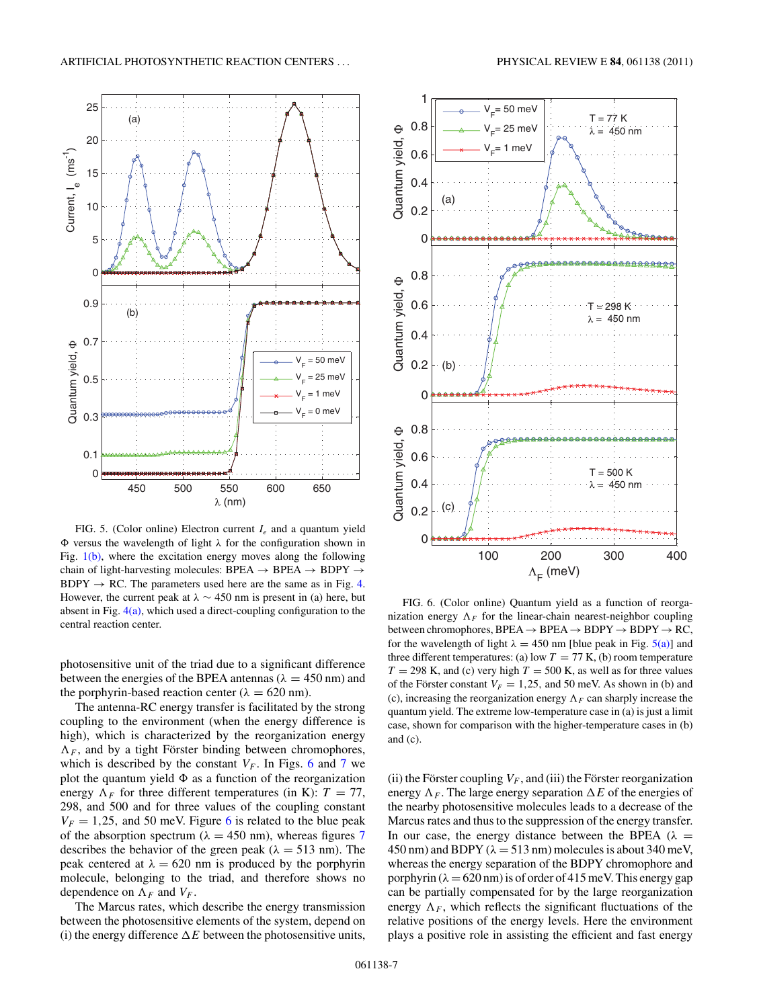<span id="page-6-0"></span>

FIG. 5. (Color online) Electron current *Ie* and a quantum yield  versus the wavelength of light *λ* for the configuration shown in Fig. [1\(b\),](#page-1-0) where the excitation energy moves along the following chain of light-harvesting molecules: BPEA  $\rightarrow$  BPEA  $\rightarrow$  BDPY  $\rightarrow$  $BDPY \rightarrow RC$ . The parameters used here are the same as in Fig. [4.](#page-5-0) However, the current peak at  $\lambda \sim 450$  nm is present in (a) here, but absent in Fig.  $4(a)$ , which used a direct-coupling configuration to the central reaction center.

photosensitive unit of the triad due to a significant difference between the energies of the BPEA antennas ( $\lambda = 450$  nm) and the porphyrin-based reaction center ( $\lambda = 620$  nm).

The antenna-RC energy transfer is facilitated by the strong coupling to the environment (when the energy difference is high), which is characterized by the reorganization energy  $\Lambda_F$ , and by a tight Förster binding between chromophores, which is described by the constant  $V_F$ . In Figs. 6 and [7](#page-7-0) we plot the quantum yield  $\Phi$  as a function of the reorganization energy  $\Lambda_F$  for three different temperatures (in K):  $T = 77$ , 298, and 500 and for three values of the coupling constant  $V_F = 1,25$ , and 50 meV. Figure 6 is related to the blue peak of the absorption spectrum ( $\lambda = 450$  nm), whereas figures [7](#page-7-0) describes the behavior of the green peak ( $\lambda = 513$  nm). The peak centered at  $\lambda = 620$  nm is produced by the porphyrin molecule, belonging to the triad, and therefore shows no dependence on  $\Lambda_F$  and  $V_F$ .

The Marcus rates, which describe the energy transmission between the photosensitive elements of the system, depend on (i) the energy difference  $\Delta E$  between the photosensitive units,



FIG. 6. (Color online) Quantum yield as a function of reorganization energy  $\Lambda_F$  for the linear-chain nearest-neighbor coupling between chromophores,  $BPEA \rightarrow BPEA \rightarrow BDPY \rightarrow BDPY \rightarrow RC$ , for the wavelength of light  $\lambda = 450$  nm [blue peak in Fig.  $5(a)$ ] and three different temperatures: (a) low  $T = 77$  K, (b) room temperature  $T = 298$  K, and (c) very high  $T = 500$  K, as well as for three values of the Förster constant  $V_F = 1,25$ , and 50 meV. As shown in (b) and (c), increasing the reorganization energy  $\Lambda_F$  can sharply increase the quantum yield. The extreme low-temperature case in (a) is just a limit case, shown for comparison with the higher-temperature cases in (b) and (c).

(ii) the Förster coupling  $V_F$ , and (iii) the Förster reorganization energy  $\Lambda_F$ . The large energy separation  $\Delta E$  of the energies of the nearby photosensitive molecules leads to a decrease of the Marcus rates and thus to the suppression of the energy transfer. In our case, the energy distance between the BPEA ( $\lambda$  =  $450 \text{ nm}$ ) and BDPY ( $\lambda = 513 \text{ nm}$ ) molecules is about 340 meV, whereas the energy separation of the BDPY chromophore and porphyrin  $(\lambda = 620 \text{ nm})$  is of order of 415 meV. This energy gap can be partially compensated for by the large reorganization energy  $\Lambda_F$ , which reflects the significant fluctuations of the relative positions of the energy levels. Here the environment plays a positive role in assisting the efficient and fast energy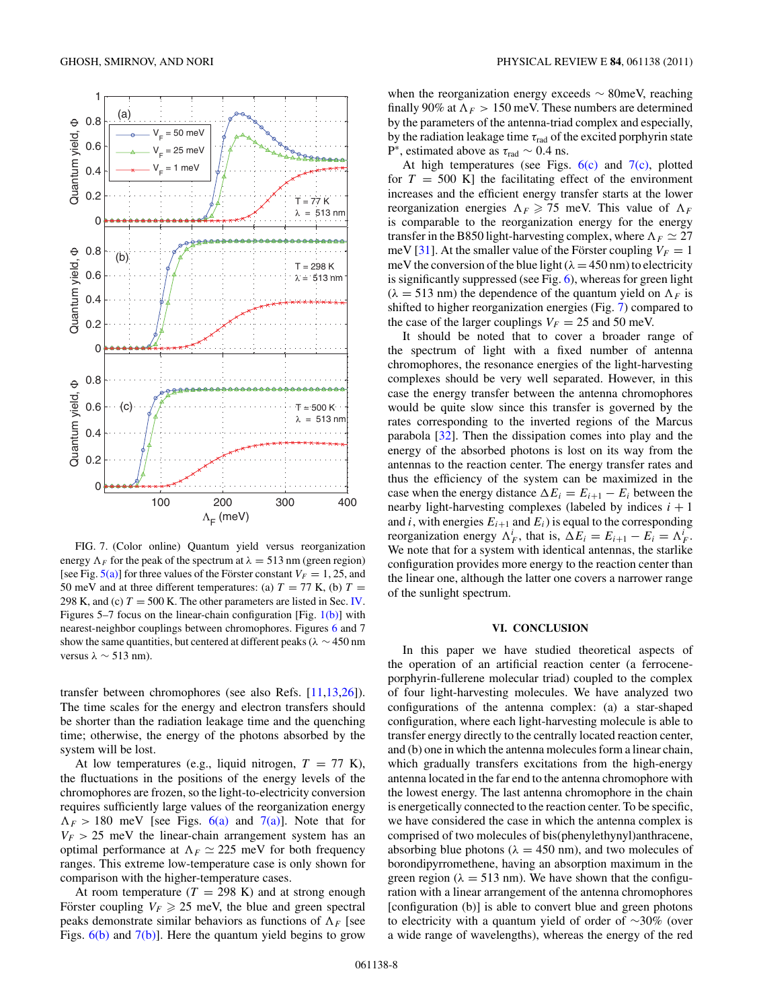<span id="page-7-0"></span>

FIG. 7. (Color online) Quantum yield versus reorganization energy  $\Lambda_F$  for the peak of the spectrum at  $\lambda = 513$  nm (green region) [see Fig.  $5(a)$ ] for three values of the Förster constant  $V_F = 1, 25$ , and 50 meV and at three different temperatures: (a)  $T = 77$  K, (b)  $T =$ 298 K, and (c)  $T = 500$  K. The other parameters are listed in Sec. [IV.](#page-3-0) Figures 5–7 focus on the linear-chain configuration [Fig.  $1(b)$ ] with nearest-neighbor couplings between chromophores. Figures [6](#page-6-0) and 7 show the same quantities, but centered at different peaks ( $\lambda \sim 450$  nm versus *λ* ∼ 513 nm).

transfer between chromophores (see also Refs. [\[11,13,26\]](#page-11-0)). The time scales for the energy and electron transfers should be shorter than the radiation leakage time and the quenching time; otherwise, the energy of the photons absorbed by the system will be lost.

At low temperatures (e.g., liquid nitrogen,  $T = 77$  K), the fluctuations in the positions of the energy levels of the chromophores are frozen, so the light-to-electricity conversion requires sufficiently large values of the reorganization energy  $\Lambda_F$  > 180 meV [see Figs. [6\(a\)](#page-6-0) and 7(a)]. Note that for  $V_F$  > 25 meV the linear-chain arrangement system has an optimal performance at  $\Lambda_F \simeq 225$  meV for both frequency ranges. This extreme low-temperature case is only shown for comparison with the higher-temperature cases.

At room temperature  $(T = 298 \text{ K})$  and at strong enough Förster coupling  $V_F \ge 25$  meV, the blue and green spectral peaks demonstrate similar behaviors as functions of  $\Lambda_F$  [see Figs.  $6(b)$  and  $7(b)$ ]. Here the quantum yield begins to grow

when the reorganization energy exceeds  $\sim$  80meV, reaching finally 90% at  $\Lambda_F > 150$  meV. These numbers are determined by the parameters of the antenna-triad complex and especially, by the radiation leakage time *τ*rad of the excited porphyrin state P<sup>∗</sup>, estimated above as *τ*rad ∼ 0*.*4 ns.

At high temperatures (see Figs.  $6(c)$  and  $7(c)$ , plotted for  $T = 500$  K] the facilitating effect of the environment increases and the efficient energy transfer starts at the lower reorganization energies  $\Lambda_F \geq 75$  meV. This value of  $\Lambda_F$ is comparable to the reorganization energy for the energy transfer in the B850 light-harvesting complex, where  $\Lambda_F \simeq 27$ meV [\[31\]](#page-11-0). At the smaller value of the Förster coupling  $V_F = 1$ meV the conversion of the blue light  $(\lambda = 450 \text{ nm})$  to electricity is significantly suppressed (see Fig. [6\)](#page-6-0), whereas for green light  $(\lambda = 513 \text{ nm})$  the dependence of the quantum yield on  $\Lambda_F$  is shifted to higher reorganization energies (Fig. 7) compared to the case of the larger couplings  $V_F = 25$  and 50 meV.

It should be noted that to cover a broader range of the spectrum of light with a fixed number of antenna chromophores, the resonance energies of the light-harvesting complexes should be very well separated. However, in this case the energy transfer between the antenna chromophores would be quite slow since this transfer is governed by the rates corresponding to the inverted regions of the Marcus parabola [\[32\]](#page-11-0). Then the dissipation comes into play and the energy of the absorbed photons is lost on its way from the antennas to the reaction center. The energy transfer rates and thus the efficiency of the system can be maximized in the case when the energy distance  $\Delta E_i = E_{i+1} - E_i$  between the nearby light-harvesting complexes (labeled by indices  $i + 1$ and  $i$ , with energies  $E_{i+1}$  and  $E_i$ ) is equal to the corresponding reorganization energy  $\Lambda_F^i$ , that is,  $\Delta E_i = E_{i+1} - E_i = \Lambda_F^i$ . We note that for a system with identical antennas, the starlike configuration provides more energy to the reaction center than the linear one, although the latter one covers a narrower range of the sunlight spectrum.

### **VI. CONCLUSION**

In this paper we have studied theoretical aspects of the operation of an artificial reaction center (a ferroceneporphyrin-fullerene molecular triad) coupled to the complex of four light-harvesting molecules. We have analyzed two configurations of the antenna complex: (a) a star-shaped configuration, where each light-harvesting molecule is able to transfer energy directly to the centrally located reaction center, and (b) one in which the antenna molecules form a linear chain, which gradually transfers excitations from the high-energy antenna located in the far end to the antenna chromophore with the lowest energy. The last antenna chromophore in the chain is energetically connected to the reaction center. To be specific, we have considered the case in which the antenna complex is comprised of two molecules of bis(phenylethynyl)anthracene, absorbing blue photons ( $\lambda = 450$  nm), and two molecules of borondipyrromethene, having an absorption maximum in the green region ( $\lambda = 513$  nm). We have shown that the configuration with a linear arrangement of the antenna chromophores [configuration (b)] is able to convert blue and green photons to electricity with a quantum yield of order of ∼30% (over a wide range of wavelengths), whereas the energy of the red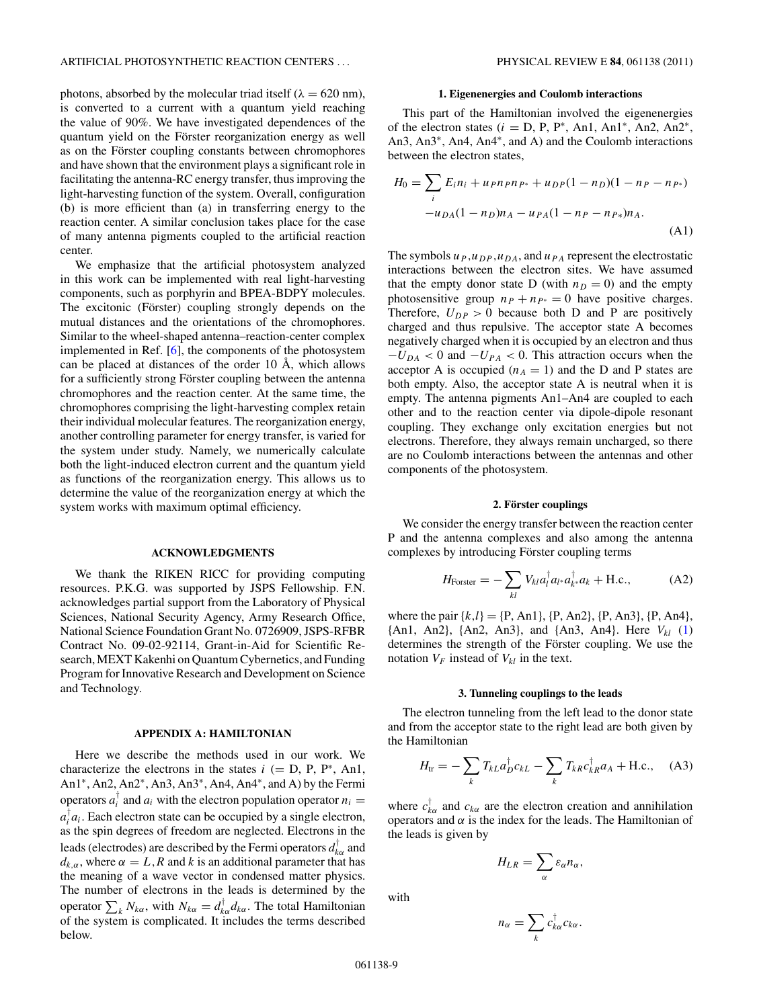<span id="page-8-0"></span>photons, absorbed by the molecular triad itself ( $\lambda = 620$  nm), is converted to a current with a quantum yield reaching the value of 90%. We have investigated dependences of the quantum yield on the Förster reorganization energy as well as on the Förster coupling constants between chromophores and have shown that the environment plays a significant role in facilitating the antenna-RC energy transfer, thus improving the light-harvesting function of the system. Overall, configuration (b) is more efficient than (a) in transferring energy to the reaction center. A similar conclusion takes place for the case of many antenna pigments coupled to the artificial reaction center.

We emphasize that the artificial photosystem analyzed in this work can be implemented with real light-harvesting components, such as porphyrin and BPEA-BDPY molecules. The excitonic (Förster) coupling strongly depends on the mutual distances and the orientations of the chromophores. Similar to the wheel-shaped antenna–reaction-center complex implemented in Ref. [\[6\]](#page-11-0), the components of the photosystem can be placed at distances of the order  $10 \text{ Å}$ , which allows for a sufficiently strong Förster coupling between the antenna chromophores and the reaction center. At the same time, the chromophores comprising the light-harvesting complex retain their individual molecular features. The reorganization energy, another controlling parameter for energy transfer, is varied for the system under study. Namely, we numerically calculate both the light-induced electron current and the quantum yield as functions of the reorganization energy. This allows us to determine the value of the reorganization energy at which the system works with maximum optimal efficiency.

# **ACKNOWLEDGMENTS**

We thank the RIKEN RICC for providing computing resources. P.K.G. was supported by JSPS Fellowship. F.N. acknowledges partial support from the Laboratory of Physical Sciences, National Security Agency, Army Research Office, National Science Foundation Grant No. 0726909, JSPS-RFBR Contract No. 09-02-92114, Grant-in-Aid for Scientific Research, MEXT Kakenhi on Quantum Cybernetics, and Funding Program for Innovative Research and Development on Science and Technology.

### **APPENDIX A: HAMILTONIAN**

Here we describe the methods used in our work. We characterize the electrons in the states  $i (= D, P, P^*, An1,$ An1<sup>∗</sup>, An2, An2<sup>∗</sup>, An3, An3<sup>∗</sup>, An4, An4<sup>∗</sup>, and A) by the Fermi operators  $a_i^{\dagger}$  and  $a_i$  with the electron population operator  $n_i =$  $a_i^{\dagger} a_i$ . Each electron state can be occupied by a single electron, as the spin degrees of freedom are neglected. Electrons in the leads (electrodes) are described by the Fermi operators  $d_{k\alpha}^{\dagger}$  and  $d_{k,\alpha}$ , where  $\alpha = L$ , R and k is an additional parameter that has the meaning of a wave vector in condensed matter physics. The number of electrons in the leads is determined by the operator  $\sum_{k} N_{k\alpha}$ , with  $N_{k\alpha} = d_{k\alpha}^{\dagger} d_{k\alpha}$ . The total Hamiltonian of the system is complicated. It includes the terms described below.

### **1. Eigenenergies and Coulomb interactions**

This part of the Hamiltonian involved the eigenenergies of the electron states  $(i = D, P, P^*, An1, An1^*, An2, An2^*,$ An3, An3<sup>∗</sup>, An4, An4<sup>∗</sup>, and A) and the Coulomb interactions between the electron states,

$$
H_0 = \sum_i E_i n_i + u_P n_P n_{P^*} + u_{DP} (1 - n_D)(1 - n_P - n_{P^*})
$$
  
- 
$$
u_{DA} (1 - n_D) n_A - u_{PA} (1 - n_P - n_{P^*}) n_A.
$$
 (A1)

The symbols  $u_P$ ,  $u_{DP}$ ,  $u_{DA}$ , and  $u_{PA}$  represent the electrostatic interactions between the electron sites. We have assumed that the empty donor state D (with  $n_D = 0$ ) and the empty photosensitive group  $n_P + n_{P^*} = 0$  have positive charges. Therefore,  $U_{DP} > 0$  because both D and P are positively charged and thus repulsive. The acceptor state A becomes negatively charged when it is occupied by an electron and thus  $-U_{DA}$  < 0 and  $-U_{PA}$  < 0. This attraction occurs when the acceptor A is occupied  $(n_A = 1)$  and the D and P states are both empty. Also, the acceptor state A is neutral when it is empty. The antenna pigments An1–An4 are coupled to each other and to the reaction center via dipole-dipole resonant coupling. They exchange only excitation energies but not electrons. Therefore, they always remain uncharged, so there are no Coulomb interactions between the antennas and other components of the photosystem.

### **2. Forster couplings ¨**

We consider the energy transfer between the reaction center P and the antenna complexes and also among the antenna complexes by introducing Förster coupling terms

$$
H_{\text{Foster}} = -\sum_{kl} V_{kl} a_l^{\dagger} a_{l^*} a_{k^*}^{\dagger} a_k + \text{H.c.}, \tag{A2}
$$

where the pair  $\{k, l\} = \{P, An1\}$ ,  $\{P, An2\}$ ,  $\{P, An3\}$ ,  $\{P, An4\}$ , {An1, An2}, {An2, An3}, and {An3, An4}. Here *Vkl* [\(1\)](#page-3-0) determines the strength of the Förster coupling. We use the notation  $V_F$  instead of  $V_{kl}$  in the text.

#### **3. Tunneling couplings to the leads**

The electron tunneling from the left lead to the donor state and from the acceptor state to the right lead are both given by the Hamiltonian

$$
H_{\text{tr}} = -\sum_{k} T_{kL} a_{D}^{\dagger} c_{kL} - \sum_{k} T_{kR} c_{kR}^{\dagger} a_{A} + \text{H.c.}, \quad (A3)
$$

where  $c_{k\alpha}^{\dagger}$  and  $c_{k\alpha}$  are the electron creation and annihilation operators and  $\alpha$  is the index for the leads. The Hamiltonian of the leads is given by

$$
H_{LR} = \sum_{\alpha} \varepsilon_{\alpha} n_{\alpha},
$$

with

$$
n_{\alpha}=\sum_{k}c_{k\alpha}^{\dagger}c_{k\alpha}.
$$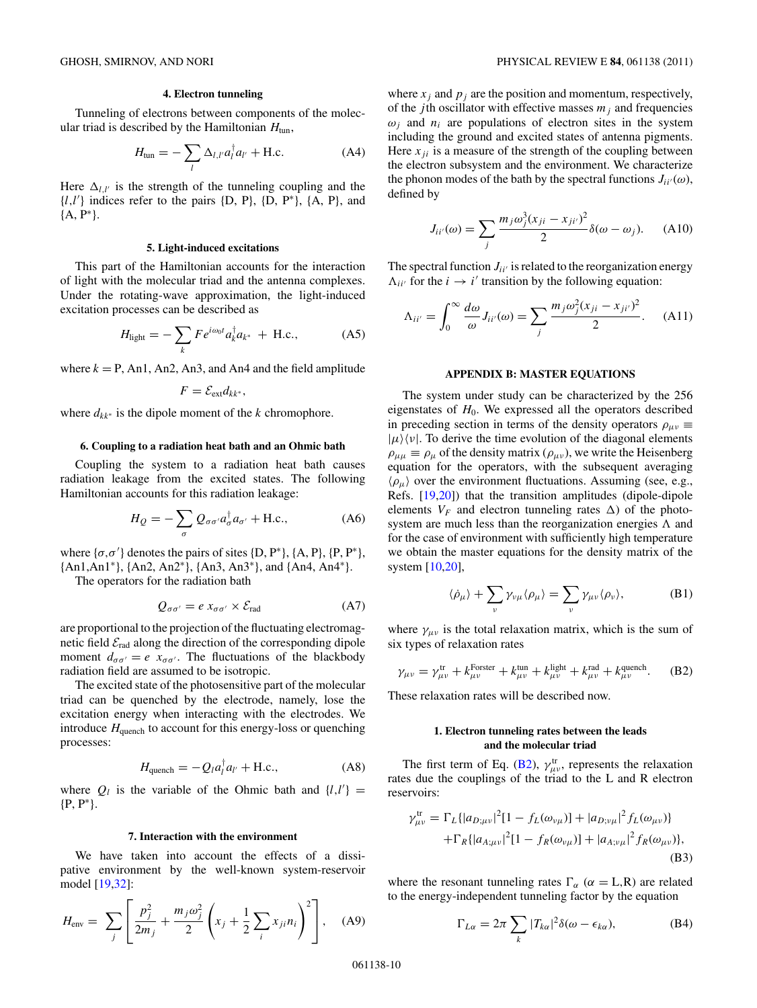### **4. Electron tunneling**

<span id="page-9-0"></span>Tunneling of electrons between components of the molecular triad is described by the Hamiltonian  $H_{\text{tun}}$ ,

$$
H_{\text{tun}} = -\sum_{l} \Delta_{l,l'} a_l^{\dagger} a_{l'} + \text{H.c.}
$$
 (A4)

Here  $\Delta_{l,l'}$  is the strength of the tunneling coupling and the {*l,l* } indices refer to the pairs {D, P}, {D, P∗}, {A, P}, and {A, P∗}.

#### **5. Light-induced excitations**

This part of the Hamiltonian accounts for the interaction of light with the molecular triad and the antenna complexes. Under the rotating-wave approximation, the light-induced excitation processes can be described as

$$
H_{\text{light}} = -\sum_{k} F e^{i\omega_0 t} a_k^{\dagger} a_{k^*} + \text{H.c.}, \tag{A5}
$$

where  $k = P$ , An1, An2, An3, and An4 and the field amplitude

$$
F=\mathcal{E}_{ext}d_{kk^*},
$$

where *dkk*<sup>∗</sup> is the dipole moment of the *k* chromophore.

### **6. Coupling to a radiation heat bath and an Ohmic bath**

Coupling the system to a radiation heat bath causes radiation leakage from the excited states. The following Hamiltonian accounts for this radiation leakage:

$$
H_Q = -\sum_{\sigma} Q_{\sigma\sigma'} a_{\sigma}^{\dagger} a_{\sigma'} + \text{H.c.},\tag{A6}
$$

where  $\{\sigma, \sigma'\}$  denotes the pairs of sites  $\{D, P^*\}, \{A, P\}, \{P, P^*\},$ {An1,An1∗}, {An2, An2∗}, {An3, An3∗}, and {An4, An4∗}.

The operators for the radiation bath

$$
Q_{\sigma\sigma'} = e x_{\sigma\sigma'} \times \mathcal{E}_{\text{rad}} \tag{A7}
$$

are proportional to the projection of the fluctuating electromagnetic field  $\mathcal{E}_{rad}$  along the direction of the corresponding dipole moment  $d_{\sigma\sigma'} = e x_{\sigma\sigma'}$ . The fluctuations of the blackbody radiation field are assumed to be isotropic.

The excited state of the photosensitive part of the molecular triad can be quenched by the electrode, namely, lose the excitation energy when interacting with the electrodes. We introduce  $H_{\text{quench}}$  to account for this energy-loss or quenching processes:

$$
H_{\text{quench}} = -Q_l a_l^\dagger a_{l'} + \text{H.c.},\tag{A8}
$$

where  $Q_l$  is the variable of the Ohmic bath and  $\{l, l'\}$  = {P, P∗}.

### **7. Interaction with the environment**

We have taken into account the effects of a dissipative environment by the well-known system-reservoir model [\[19,32\]](#page-11-0):

$$
H_{\text{env}} = \sum_{j} \left[ \frac{p_j^2}{2m_j} + \frac{m_j \omega_j^2}{2} \left( x_j + \frac{1}{2} \sum_{i} x_{ji} n_i \right)^2 \right], \quad (A9)
$$

where  $x_j$  and  $p_j$  are the position and momentum, respectively, of the *j*th oscillator with effective masses  $m_j$  and frequencies  $\omega_i$  and  $n_i$  are populations of electron sites in the system including the ground and excited states of antenna pigments. Here  $x_{ii}$  is a measure of the strength of the coupling between the electron subsystem and the environment. We characterize the phonon modes of the bath by the spectral functions  $J_{ii'}(\omega)$ , defined by

$$
J_{ii'}(\omega) = \sum_j \frac{m_j \omega_j^3 (x_{ji} - x_{ji'})^2}{2} \delta(\omega - \omega_j). \tag{A10}
$$

The spectral function  $J_{ii'}$  is related to the reorganization energy  $\Lambda_{ii'}$  for the *i*  $\rightarrow i'$  transition by the following equation:

$$
\Lambda_{ii'} = \int_0^\infty \frac{d\omega}{\omega} J_{ii'}(\omega) = \sum_j \frac{m_j \omega_j^2 (x_{ji} - x_{ji'})^2}{2}.
$$
 (A11)

#### **APPENDIX B: MASTER EQUATIONS**

The system under study can be characterized by the 256 eigenstates of  $H_0$ . We expressed all the operators described in preceding section in terms of the density operators  $\rho_{\mu\nu} \equiv$  $|\mu\rangle\langle \nu|$ . To derive the time evolution of the diagonal elements  $\rho_{\mu\mu} \equiv \rho_{\mu}$  of the density matrix ( $\rho_{\mu\nu}$ ), we write the Heisenberg equation for the operators, with the subsequent averaging  $\langle \rho_\mu \rangle$  over the environment fluctuations. Assuming (see, e.g., Refs. [\[19,20\]](#page-11-0)) that the transition amplitudes (dipole-dipole elements  $V_F$  and electron tunneling rates  $\Delta$ ) of the photosystem are much less than the reorganization energies  $\Lambda$  and for the case of environment with sufficiently high temperature we obtain the master equations for the density matrix of the system [\[10,20\]](#page-11-0),

$$
\langle \dot{\rho}_{\mu} \rangle + \sum_{\nu} \gamma_{\nu\mu} \langle \rho_{\mu} \rangle = \sum_{\nu} \gamma_{\mu\nu} \langle \rho_{\nu} \rangle, \tag{B1}
$$

where  $\gamma_{\mu\nu}$  is the total relaxation matrix, which is the sum of six types of relaxation rates

$$
\gamma_{\mu\nu} = \gamma_{\mu\nu}^{\text{tr}} + k_{\mu\nu}^{\text{Forster}} + k_{\mu\nu}^{\text{tun}} + k_{\mu\nu}^{\text{light}} + k_{\mu\nu}^{\text{rad}} + k_{\mu\nu}^{\text{quench}}.
$$
 (B2)

These relaxation rates will be described now.

### **1. Electron tunneling rates between the leads and the molecular triad**

The first term of Eq. (B2),  $\gamma^{\text{tr}}_{\mu\nu}$ , represents the relaxation rates due the couplings of the triad to the L and R electron reservoirs:

$$
\gamma_{\mu\nu}^{\text{tr}} = \Gamma_L \{ |a_{D;\mu\nu}|^2 [1 - f_L(\omega_{\nu\mu})] + |a_{D;\nu\mu}|^2 f_L(\omega_{\mu\nu}) \}
$$
  
+ 
$$
\Gamma_R \{ |a_{A;\mu\nu}|^2 [1 - f_R(\omega_{\nu\mu})] + |a_{A;\nu\mu}|^2 f_R(\omega_{\mu\nu}) \},
$$
(B3)

where the resonant tunneling rates  $\Gamma_{\alpha}$  ( $\alpha =$  L,R) are related to the energy-independent tunneling factor by the equation

$$
\Gamma_{L\alpha} = 2\pi \sum_{k} |T_{k\alpha}|^2 \delta(\omega - \epsilon_{k\alpha}), \tag{B4}
$$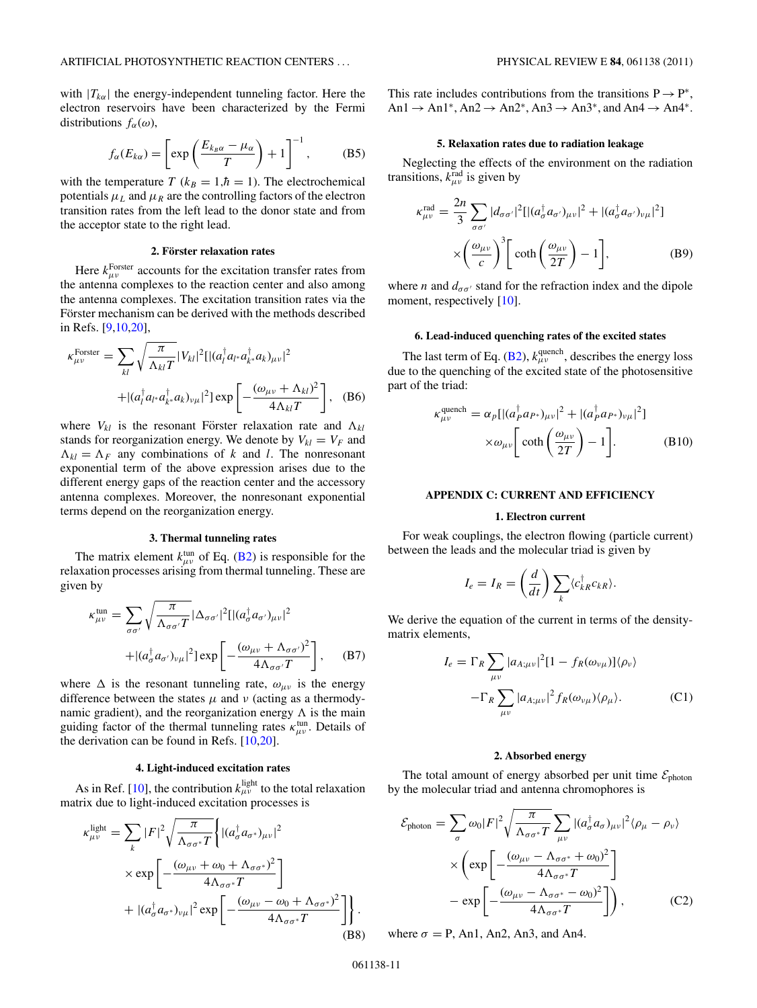<span id="page-10-0"></span>with  $|T_{k\alpha}|$  the energy-independent tunneling factor. Here the electron reservoirs have been characterized by the Fermi distributions  $f_\alpha(\omega)$ ,

$$
f_{\alpha}(E_{k\alpha}) = \left[\exp\left(\frac{E_{k_B\alpha} - \mu_{\alpha}}{T}\right) + 1\right]^{-1},\tag{B5}
$$

with the temperature *T* ( $k_B = 1, \hbar = 1$ ). The electrochemical potentials  $\mu_L$  and  $\mu_R$  are the controlling factors of the electron transition rates from the left lead to the donor state and from the acceptor state to the right lead.

# **2. Forster relaxation rates ¨**

Here  $k_{\mu\nu}^{\text{Forster}}$  accounts for the excitation transfer rates from the antenna complexes to the reaction center and also among the antenna complexes. The excitation transition rates via the Förster mechanism can be derived with the methods described in Refs. [\[9,10,20\]](#page-11-0),

$$
\kappa_{\mu\nu}^{\text{Forster}} = \sum_{kl} \sqrt{\frac{\pi}{\Lambda_{kl} T}} |V_{kl}|^2 [|(a_l^\dagger a_{l^*} a_{k^*}^\dagger a_{k})_{\mu\nu}|^2
$$
  
 
$$
+ |(a_l^\dagger a_{l^*} a_{k^*}^\dagger a_{k})_{\nu\mu}|^2 ] \exp\left[-\frac{(\omega_{\mu\nu} + \Lambda_{kl})^2}{4\Lambda_{kl} T}\right], \quad (B6)
$$

where  $V_{kl}$  is the resonant Förster relaxation rate and  $\Lambda_{kl}$ stands for reorganization energy. We denote by  $V_{kl} = V_F$  and  $\Lambda_{kl} = \Lambda_F$  any combinations of *k* and *l*. The nonresonant exponential term of the above expression arises due to the different energy gaps of the reaction center and the accessory antenna complexes. Moreover, the nonresonant exponential terms depend on the reorganization energy.

#### **3. Thermal tunneling rates**

The matrix element  $k_{\mu\nu}^{\text{tun}}$  of Eq. [\(B2\)](#page-9-0) is responsible for the relaxation processes arising from thermal tunneling. These are given by

$$
\kappa_{\mu\nu}^{\text{tun}} = \sum_{\sigma\sigma'} \sqrt{\frac{\pi}{\Lambda_{\sigma\sigma'}T}} |\Delta_{\sigma\sigma'}|^2 [|\left(a_{\sigma}^{\dagger} a_{\sigma'}\right)_{\mu\nu}|^2 + |\left(a_{\sigma}^{\dagger} a_{\sigma'}\right)_{\nu\mu}|^2] \exp\left[-\frac{\left(\omega_{\mu\nu} + \Lambda_{\sigma\sigma'}\right)^2}{4\Lambda_{\sigma\sigma'}T}\right], \quad (B7)
$$

where  $\Delta$  is the resonant tunneling rate,  $\omega_{\mu\nu}$  is the energy difference between the states  $\mu$  and  $\nu$  (acting as a thermodynamic gradient), and the reorganization energy  $\Lambda$  is the main guiding factor of the thermal tunneling rates  $\kappa_{\mu\nu}^{\text{tun}}$ . Details of the derivation can be found in Refs.  $[10,20]$ .

#### **4. Light-induced excitation rates**

As in Ref. [\[10\]](#page-11-0), the contribution  $k_{\mu\nu}^{\text{light}}$  to the total relaxation matrix due to light-induced excitation processes is

$$
\kappa_{\mu\nu}^{\text{light}} = \sum_{k} |F|^{2} \sqrt{\frac{\pi}{\Lambda_{\sigma\sigma^{*}}} T} \left\{ |(a_{\sigma}^{\dagger} a_{\sigma^{*}})_{\mu\nu}|^{2} \times \exp\left[ -\frac{(\omega_{\mu\nu} + \omega_{0} + \Lambda_{\sigma\sigma^{*}})^{2}}{4\Lambda_{\sigma\sigma^{*}}} T \right] + |(a_{\sigma}^{\dagger} a_{\sigma^{*}})_{\nu\mu}|^{2} \exp\left[ -\frac{(\omega_{\mu\nu} - \omega_{0} + \Lambda_{\sigma\sigma^{*}})^{2}}{4\Lambda_{\sigma\sigma^{*}}} T \right] \right\}.
$$
\n(B8)

This rate includes contributions from the transitions  $P \rightarrow P^*$ , An1  $\rightarrow$  An1<sup>\*</sup>, An2  $\rightarrow$  An2<sup>\*</sup>, An3  $\rightarrow$  An3<sup>\*</sup>, and An4  $\rightarrow$  An4<sup>\*</sup>.

#### **5. Relaxation rates due to radiation leakage**

Neglecting the effects of the environment on the radiation transitions,  $k_{\mu\nu}^{\text{rad}}$  is given by

$$
\kappa_{\mu\nu}^{\text{rad}} = \frac{2n}{3} \sum_{\sigma\sigma'} |d_{\sigma\sigma'}|^2 [ |(a_{\sigma}^{\dagger} a_{\sigma'})_{\mu\nu}|^2 + |(a_{\sigma}^{\dagger} a_{\sigma'})_{\nu\mu}|^2 ]
$$

$$
\times \left(\frac{\omega_{\mu\nu}}{c}\right)^3 \left[ \coth\left(\frac{\omega_{\mu\nu}}{2T}\right) - 1 \right], \tag{B9}
$$

where *n* and  $d_{\sigma\sigma'}$  stand for the refraction index and the dipole moment, respectively [\[10\]](#page-11-0).

# **6. Lead-induced quenching rates of the excited states**

The last term of Eq. [\(B2\)](#page-9-0),  $k_{\mu\nu}^{\text{quench}}$ , describes the energy loss due to the quenching of the excited state of the photosensitive part of the triad:

$$
\kappa_{\mu\nu}^{\text{quench}} = \alpha_p [| (a_p^\dagger a_{P^*})_{\mu\nu} |^2 + | (a_p^\dagger a_{P^*})_{\nu\mu} |^2 ]
$$
  
 
$$
\times \omega_{\mu\nu} \bigg[ \coth\bigg( \frac{\omega_{\mu\nu}}{2T} \bigg) - 1 \bigg]. \tag{B10}
$$

### **APPENDIX C: CURRENT AND EFFICIENCY**

#### **1. Electron current**

For weak couplings, the electron flowing (particle current) between the leads and the molecular triad is given by

$$
I_e = I_R = \left(\frac{d}{dt}\right) \sum_k \langle c_{kR}^\dagger c_{kR} \rangle.
$$

We derive the equation of the current in terms of the densitymatrix elements,

$$
I_e = \Gamma_R \sum_{\mu\nu} |a_{A;\mu\nu}|^2 [1 - f_R(\omega_{\nu\mu})] \langle \rho_{\nu} \rangle
$$

$$
- \Gamma_R \sum_{\mu\nu} |a_{A;\mu\nu}|^2 f_R(\omega_{\nu\mu}) \langle \rho_{\mu} \rangle. \tag{C1}
$$

### **2. Absorbed energy**

The total amount of energy absorbed per unit time  $\mathcal{E}_{\text{photon}}$ by the molecular triad and antenna chromophores is

$$
\mathcal{E}_{\text{photon}} = \sum_{\sigma} \omega_0 |F|^2 \sqrt{\frac{\pi}{\Lambda_{\sigma\sigma^*} T}} \sum_{\mu\nu} |(a_{\sigma}^{\dagger} a_{\sigma})_{\mu\nu}|^2 \langle \rho_{\mu} - \rho_{\nu} \rangle
$$

$$
\times \left( \exp \left[ -\frac{(\omega_{\mu\nu} - \Lambda_{\sigma\sigma^*} + \omega_0)^2}{4 \Lambda_{\sigma\sigma^*} T} \right] - \exp \left[ -\frac{(\omega_{\mu\nu} - \Lambda_{\sigma\sigma^*} - \omega_0)^2}{4 \Lambda_{\sigma\sigma^*} T} \right] \right), \tag{C2}
$$

where  $\sigma = P$ , An1, An2, An3, and An4.